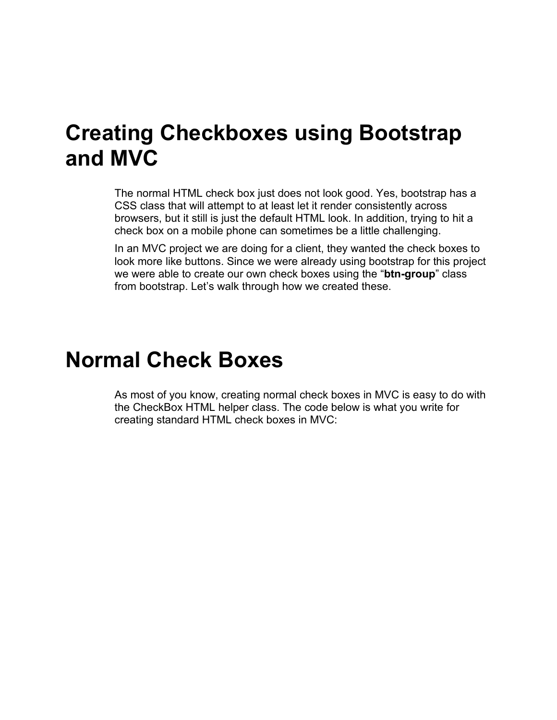#### **Creating Checkboxes using Bootstrap and MVC**

The normal HTML check box just does not look good. Yes, bootstrap has a CSS class that will attempt to at least let it render consistently across browsers, but it still is just the default HTML look. In addition, trying to hit a check box on a mobile phone can sometimes be a little challenging.

In an MVC project we are doing for a client, they wanted the check boxes to look more like buttons. Since we were already using bootstrap for this project we were able to create our own check boxes using the "**btn-group**" class from bootstrap. Let's walk through how we created these.

## **Normal Check Boxes**

As most of you know, creating normal check boxes in MVC is easy to do with the CheckBox HTML helper class. The code below is what you write for creating standard HTML check boxes in MVC: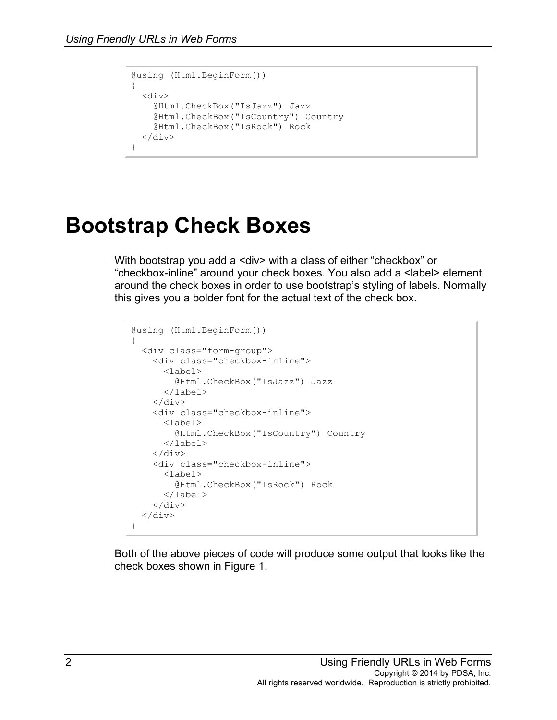```
@using (Html.BeginForm())
{
  <div>
     @Html.CheckBox("IsJazz") Jazz
     @Html.CheckBox("IsCountry") Country
     @Html.CheckBox("IsRock") Rock
  \langle div\rangle}
```
## **Bootstrap Check Boxes**

With bootstrap you add a <div> with a class of either "checkbox" or "checkbox-inline" around your check boxes. You also add a <label> element around the check boxes in order to use bootstrap's styling of labels. Normally this gives you a bolder font for the actual text of the check box.

```
@using (Html.BeginForm())
{
   <div class="form-group">
     <div class="checkbox-inline">
       <label>
         @Html.CheckBox("IsJazz") Jazz
       </label>
    \langlediv> <div class="checkbox-inline">
       <label>
         @Html.CheckBox("IsCountry") Country
       </label>
    \langlediv\rangle <div class="checkbox-inline">
       <label>
          @Html.CheckBox("IsRock") Rock
       </label>
    \langle/div\rangle\langle div>
}
```
Both of the above pieces of code will produce some output that looks like the check boxes shown in Figure 1.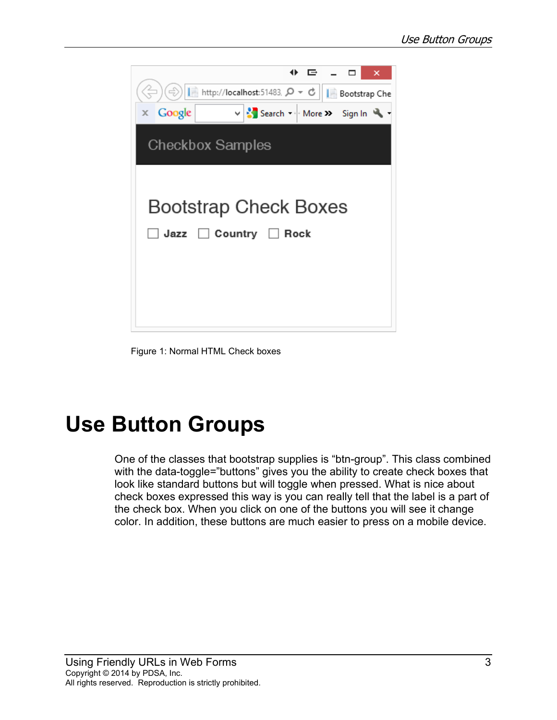

Figure 1: Normal HTML Check boxes

## **Use Button Groups**

One of the classes that bootstrap supplies is "btn-group". This class combined with the data-toggle="buttons" gives you the ability to create check boxes that look like standard buttons but will toggle when pressed. What is nice about check boxes expressed this way is you can really tell that the label is a part of the check box. When you click on one of the buttons you will see it change color. In addition, these buttons are much easier to press on a mobile device.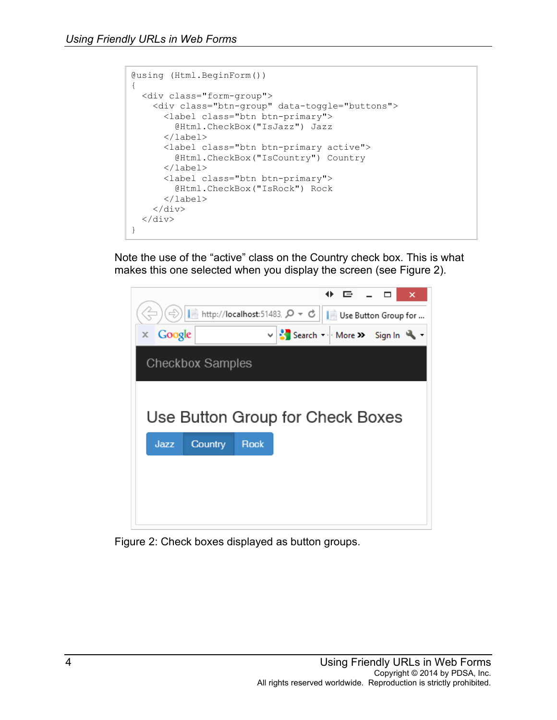```
@using (Html.BeginForm())
{
   <div class="form-group">
     <div class="btn-group" data-toggle="buttons">
       <label class="btn btn-primary">
         @Html.CheckBox("IsJazz") Jazz
       </label>
       <label class="btn btn-primary active">
         @Html.CheckBox("IsCountry") Country
       </label>
       <label class="btn btn-primary">
         @Html.CheckBox("IsRock") Rock
       </label>
    \langle/div\rangle\langlediv>
}
```
Note the use of the "active" class on the Country check box. This is what makes this one selected when you display the screen (see Figure 2).



Figure 2: Check boxes displayed as button groups.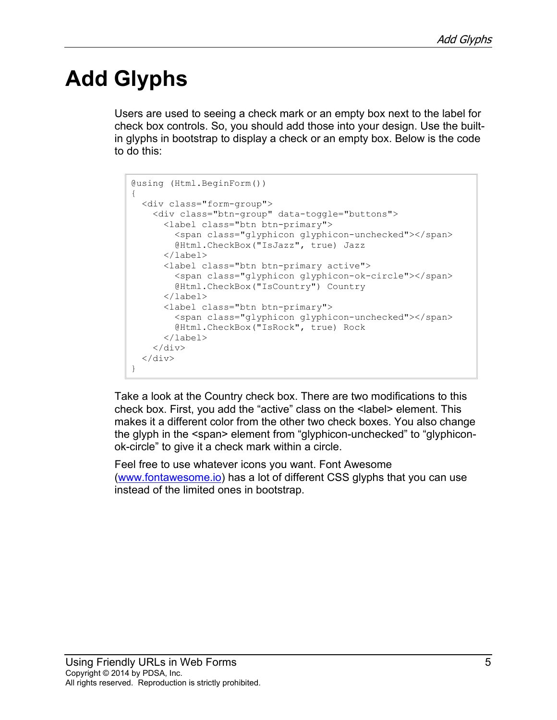# **Add Glyphs**

Users are used to seeing a check mark or an empty box next to the label for check box controls. So, you should add those into your design. Use the builtin glyphs in bootstrap to display a check or an empty box. Below is the code to do this:

```
@using (Html.BeginForm())
{
   <div class="form-group">
     <div class="btn-group" data-toggle="buttons">
       <label class="btn btn-primary">
         <span class="glyphicon glyphicon-unchecked"></span>
         @Html.CheckBox("IsJazz", true) Jazz
       </label>
       <label class="btn btn-primary active">
         <span class="glyphicon glyphicon-ok-circle"></span>
         @Html.CheckBox("IsCountry") Country
       </label>
       <label class="btn btn-primary">
         <span class="glyphicon glyphicon-unchecked"></span>
         @Html.CheckBox("IsRock", true) Rock
      \langle/label>
    \langle/div\rangle\langle div>
}
```
Take a look at the Country check box. There are two modifications to this check box. First, you add the "active" class on the <label> element. This makes it a different color from the other two check boxes. You also change the glyph in the <span> element from "glyphicon-unchecked" to "glyphiconok-circle" to give it a check mark within a circle.

Feel free to use whatever icons you want. Font Awesome [\(www.fontawesome.io\)](http://www.fontawesome.io/) has a lot of different CSS glyphs that you can use instead of the limited ones in bootstrap.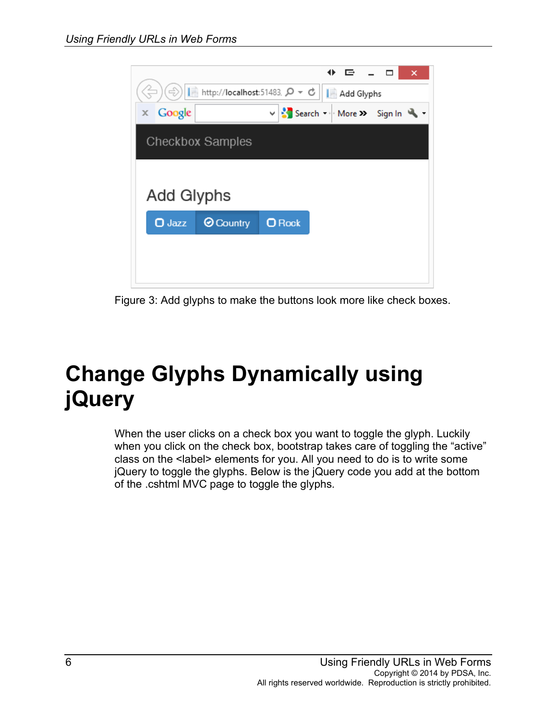

Figure 3: Add glyphs to make the buttons look more like check boxes.

# **Change Glyphs Dynamically using jQuery**

When the user clicks on a check box you want to toggle the glyph. Luckily when you click on the check box, bootstrap takes care of toggling the "active" class on the <label> elements for you. All you need to do is to write some jQuery to toggle the glyphs. Below is the jQuery code you add at the bottom of the .cshtml MVC page to toggle the glyphs.